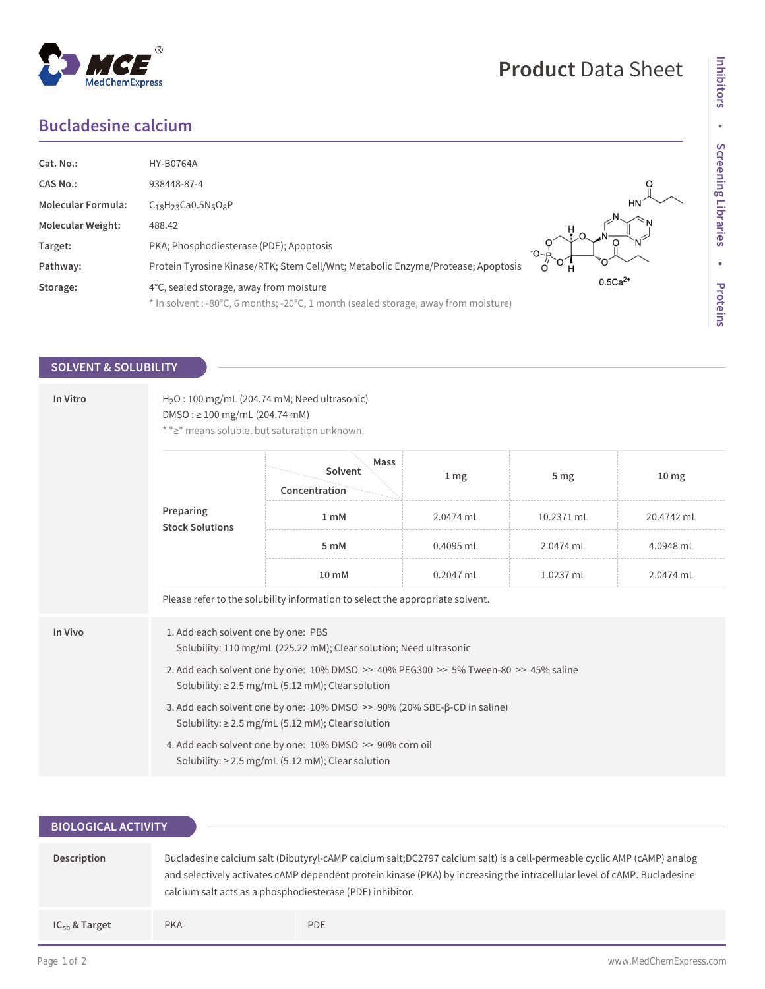## **Bucladesine calcium**

MedChemExpress

 $^{\circledR}$ 

| Cat. No.:                 | <b>HY-B0764A</b>                                                                    |           |
|---------------------------|-------------------------------------------------------------------------------------|-----------|
| <b>CAS No.:</b>           | 938448-87-4                                                                         |           |
| <b>Molecular Formula:</b> | $C_{18}H_{23}$ Ca0.5N <sub>5</sub> O <sub>8</sub> P                                 |           |
| <b>Molecular Weight:</b>  | 488.42                                                                              |           |
| Target:                   | PKA; Phosphodiesterase (PDE); Apoptosis                                             | $-0$      |
| Pathway:                  | Protein Tyrosine Kinase/RTK; Stem Cell/Wnt; Metabolic Enzyme/Protease; Apoptosis    | `O        |
| Storage:                  | 4°C, sealed storage, away from moisture                                             | $0.5Ca2+$ |
|                           | * In solvent : -80°C, 6 months; -20°C, 1 month (sealed storage, away from moisture) |           |

### **SOLVENT & SOLUBILITY**

| In Vitro | $H2O$ : 100 mg/mL (204.74 mM; Need ultrasonic)<br>$DMSO: \geq 100$ mg/mL (204.74 mM)<br>* ">" means soluble, but saturation unknown.          |                                  |                 |                 |                  |  |  |
|----------|-----------------------------------------------------------------------------------------------------------------------------------------------|----------------------------------|-----------------|-----------------|------------------|--|--|
|          | Preparing<br><b>Stock Solutions</b>                                                                                                           | Mass<br>Solvent<br>Concentration | 1 <sub>mg</sub> | 5 <sub>mg</sub> | 10 <sub>mg</sub> |  |  |
|          |                                                                                                                                               | 1 mM                             | 2.0474 mL       | 10.2371 mL      | 20.4742 mL       |  |  |
|          |                                                                                                                                               | 5 mM                             | 0.4095 mL       | 2.0474 mL       | 4.0948 mL        |  |  |
|          |                                                                                                                                               | 10 mM                            | $0.2047$ mL     | 1.0237 mL       | 2.0474 mL        |  |  |
|          | Please refer to the solubility information to select the appropriate solvent.                                                                 |                                  |                 |                 |                  |  |  |
| In Vivo  | 1. Add each solvent one by one: PBS<br>Solubility: 110 mg/mL (225.22 mM); Clear solution; Need ultrasonic                                     |                                  |                 |                 |                  |  |  |
|          | 2. Add each solvent one by one: 10% DMSO >> 40% PEG300 >> 5% Tween-80 >> 45% saline<br>Solubility: $\geq$ 2.5 mg/mL (5.12 mM); Clear solution |                                  |                 |                 |                  |  |  |
|          | 3. Add each solvent one by one: 10% DMSO >> 90% (20% SBE-β-CD in saline)<br>Solubility: $\geq$ 2.5 mg/mL (5.12 mM); Clear solution            |                                  |                 |                 |                  |  |  |
|          | 4. Add each solvent one by one: 10% DMSO >> 90% corn oil<br>Solubility: $\geq$ 2.5 mg/mL (5.12 mM); Clear solution                            |                                  |                 |                 |                  |  |  |

| <b>BIOLOGICAL ACTIVITY</b> |                                                                                                                                                                                                                                                                                                                   |            |  |  |  |
|----------------------------|-------------------------------------------------------------------------------------------------------------------------------------------------------------------------------------------------------------------------------------------------------------------------------------------------------------------|------------|--|--|--|
|                            |                                                                                                                                                                                                                                                                                                                   |            |  |  |  |
| Description                | Bucladesine calcium salt (Dibutyryl-cAMP calcium salt; DC2797 calcium salt) is a cell-permeable cyclic AMP (cAMP) analog<br>and selectively activates cAMP dependent protein kinase (PKA) by increasing the intracellular level of cAMP. Bucladesine<br>calcium salt acts as a phosphodiesterase (PDE) inhibitor. |            |  |  |  |
| $IC_{50}$ & Target         | <b>PKA</b>                                                                                                                                                                                                                                                                                                        | <b>PDE</b> |  |  |  |

# **Product** Data Sheet